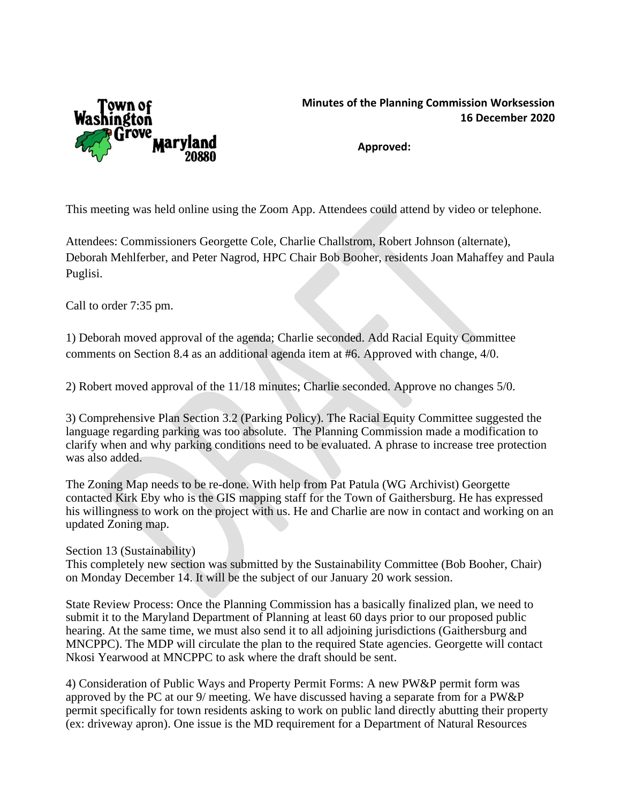

## **Minutes of the Planning Commission Worksession 16 December 2020**

**Approved:**

This meeting was held online using the Zoom App. Attendees could attend by video or telephone.

Attendees: Commissioners Georgette Cole, Charlie Challstrom, Robert Johnson (alternate), Deborah Mehlferber, and Peter Nagrod, HPC Chair Bob Booher, residents Joan Mahaffey and Paula Puglisi.

Call to order 7:35 pm.

1) Deborah moved approval of the agenda; Charlie seconded. Add Racial Equity Committee comments on Section 8.4 as an additional agenda item at #6. Approved with change, 4/0.

2) Robert moved approval of the 11/18 minutes; Charlie seconded. Approve no changes 5/0.

3) Comprehensive Plan Section 3.2 (Parking Policy). The Racial Equity Committee suggested the language regarding parking was too absolute. The Planning Commission made a modification to clarify when and why parking conditions need to be evaluated. A phrase to increase tree protection was also added.

The Zoning Map needs to be re-done. With help from Pat Patula (WG Archivist) Georgette contacted Kirk Eby who is the GIS mapping staff for the Town of Gaithersburg. He has expressed his willingness to work on the project with us. He and Charlie are now in contact and working on an updated Zoning map.

Section 13 (Sustainability)

This completely new section was submitted by the Sustainability Committee (Bob Booher, Chair) on Monday December 14. It will be the subject of our January 20 work session.

State Review Process: Once the Planning Commission has a basically finalized plan, we need to submit it to the Maryland Department of Planning at least 60 days prior to our proposed public hearing. At the same time, we must also send it to all adjoining jurisdictions (Gaithersburg and MNCPPC). The MDP will circulate the plan to the required State agencies. Georgette will contact Nkosi Yearwood at MNCPPC to ask where the draft should be sent.

4) Consideration of Public Ways and Property Permit Forms: A new PW&P permit form was approved by the PC at our 9/ meeting. We have discussed having a separate from for a PW&P permit specifically for town residents asking to work on public land directly abutting their property (ex: driveway apron). One issue is the MD requirement for a Department of Natural Resources